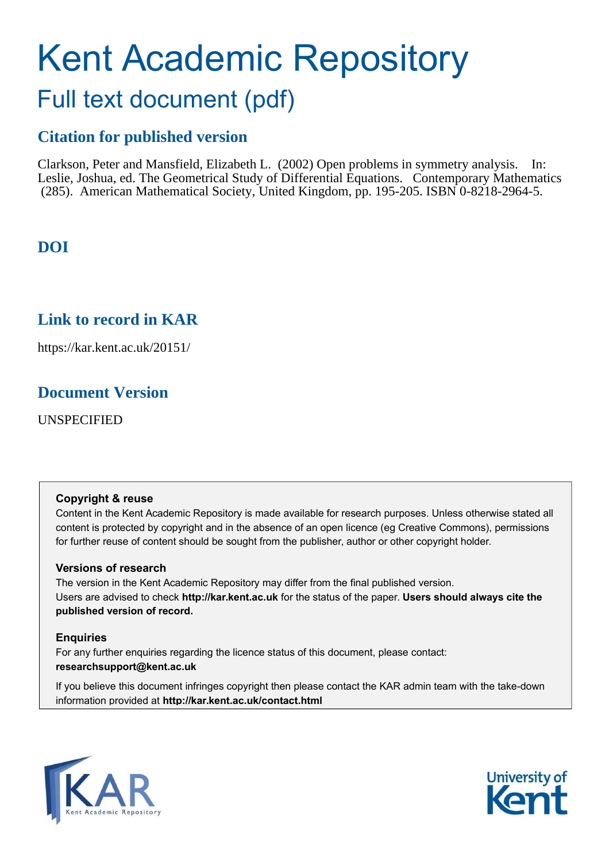# Kent Academic Repository Full text document (pdf)

# **Citation for published version**

Clarkson, Peter and Mansfield, Elizabeth L. (2002) Open problems in symmetry analysis. In: Leslie, Joshua, ed. The Geometrical Study of Differential Equations. Contemporary Mathematics (285). American Mathematical Society, United Kingdom, pp. 195-205. ISBN 0-8218-2964-5.

# **DOI**

# **Link to record in KAR**

https://kar.kent.ac.uk/20151/

## **Document Version**

UNSPECIFIED

## **Copyright & reuse**

Content in the Kent Academic Repository is made available for research purposes. Unless otherwise stated all content is protected by copyright and in the absence of an open licence (eg Creative Commons), permissions for further reuse of content should be sought from the publisher, author or other copyright holder.

## **Versions of research**

The version in the Kent Academic Repository may differ from the final published version. Users are advised to check **http://kar.kent.ac.uk** for the status of the paper. **Users should always cite the published version of record.**

## **Enquiries**

For any further enquiries regarding the licence status of this document, please contact: **researchsupport@kent.ac.uk**

If you believe this document infringes copyright then please contact the KAR admin team with the take-down information provided at **http://kar.kent.ac.uk/contact.html**



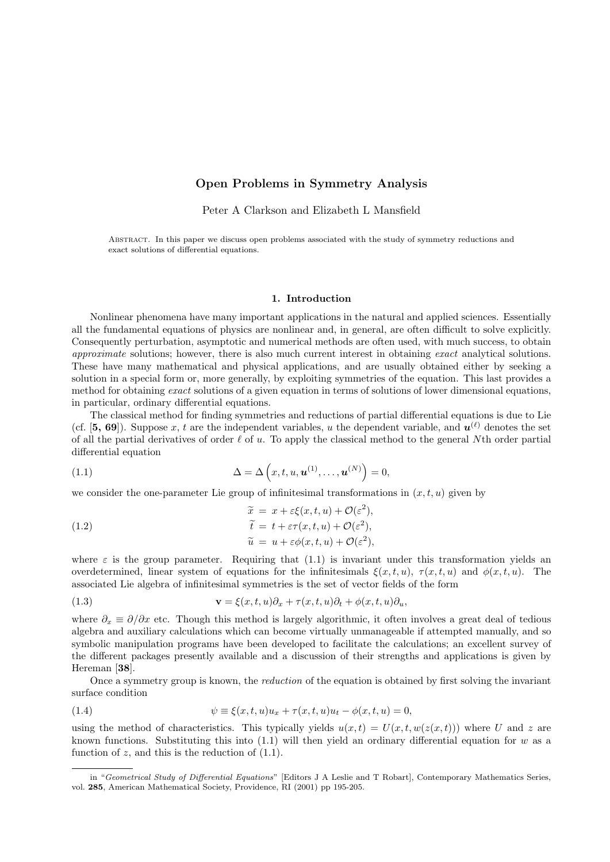### Open Problems in Symmetry Analysis

Peter A Clarkson and Elizabeth L Mansfield

Abstract. In this paper we discuss open problems associated with the study of symmetry reductions and exact solutions of differential equations.

#### 1. Introduction

Nonlinear phenomena have many important applications in the natural and applied sciences. Essentially all the fundamental equations of physics are nonlinear and, in general, are often difficult to solve explicitly. Consequently perturbation, asymptotic and numerical methods are often used, with much success, to obtain approximate solutions; however, there is also much current interest in obtaining exact analytical solutions. These have many mathematical and physical applications, and are usually obtained either by seeking a solution in a special form or, more generally, by exploiting symmetries of the equation. This last provides a method for obtaining exact solutions of a given equation in terms of solutions of lower dimensional equations, in particular, ordinary differential equations.

The classical method for finding symmetries and reductions of partial differential equations is due to Lie (cf. [5, 69]). Suppose x, t are the independent variables, u the dependent variable, and  $u^{(\ell)}$  denotes the set of all the partial derivatives of order  $\ell$  of u. To apply the classical method to the general Nth order partial differential equation

(1.1) 
$$
\Delta = \Delta \left( x, t, u, \mathbf{u}^{(1)}, \dots, \mathbf{u}^{(N)} \right) = 0,
$$

we consider the one-parameter Lie group of infinitesimal transformations in  $(x, t, u)$  given by

(1.2)  
\n
$$
\begin{aligned}\n\widetilde{x} &= x + \varepsilon \xi(x, t, u) + \mathcal{O}(\varepsilon^2), \\
\widetilde{t} &= t + \varepsilon \tau(x, t, u) + \mathcal{O}(\varepsilon^2), \\
\widetilde{u} &= u + \varepsilon \phi(x, t, u) + \mathcal{O}(\varepsilon^2),\n\end{aligned}
$$

where  $\varepsilon$  is the group parameter. Requiring that (1.1) is invariant under this transformation yields an overdetermined, linear system of equations for the infinitesimals  $\xi(x, t, u)$ ,  $\tau(x, t, u)$  and  $\phi(x, t, u)$ . The associated Lie algebra of infinitesimal symmetries is the set of vector fields of the form

(1.3) 
$$
\mathbf{v} = \xi(x, t, u)\partial_x + \tau(x, t, u)\partial_t + \phi(x, t, u)\partial_u,
$$

where  $\partial_x \equiv \partial/\partial x$  etc. Though this method is largely algorithmic, it often involves a great deal of tedious algebra and auxiliary calculations which can become virtually unmanageable if attempted manually, and so symbolic manipulation programs have been developed to facilitate the calculations; an excellent survey of the different packages presently available and a discussion of their strengths and applications is given by Hereman [38].

Once a symmetry group is known, the reduction of the equation is obtained by first solving the invariant surface condition

(1.4) 
$$
\psi \equiv \xi(x, t, u)u_x + \tau(x, t, u)u_t - \phi(x, t, u) = 0,
$$

using the method of characteristics. This typically yields  $u(x,t) = U(x,t,w(z(x,t)))$  where U and z are known functions. Substituting this into  $(1.1)$  will then yield an ordinary differential equation for w as a function of  $z$ , and this is the reduction of  $(1.1)$ .

in "Geometrical Study of Differential Equations" [Editors J A Leslie and T Robart], Contemporary Mathematics Series, vol. 285, American Mathematical Society, Providence, RI (2001) pp 195-205.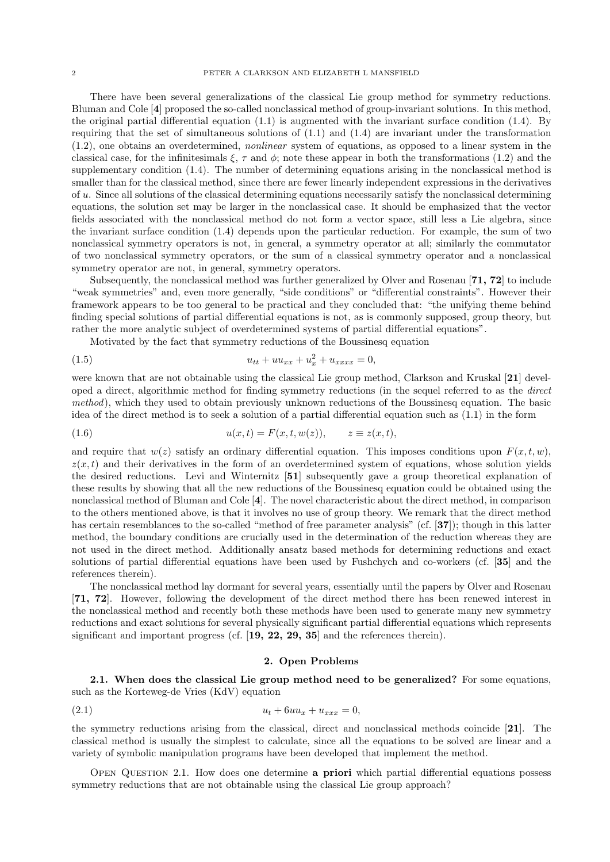There have been several generalizations of the classical Lie group method for symmetry reductions. Bluman and Cole [4] proposed the so-called nonclassical method of group-invariant solutions. In this method, the original partial differential equation (1.1) is augmented with the invariant surface condition (1.4). By requiring that the set of simultaneous solutions of (1.1) and (1.4) are invariant under the transformation (1.2), one obtains an overdetermined, nonlinear system of equations, as opposed to a linear system in the classical case, for the infinitesimals  $\xi$ ,  $\tau$  and  $\phi$ ; note these appear in both the transformations (1.2) and the supplementary condition (1.4). The number of determining equations arising in the nonclassical method is smaller than for the classical method, since there are fewer linearly independent expressions in the derivatives of  $u$ . Since all solutions of the classical determining equations necessarily satisfy the nonclassical determining equations, the solution set may be larger in the nonclassical case. It should be emphasized that the vector fields associated with the nonclassical method do not form a vector space, still less a Lie algebra, since the invariant surface condition (1.4) depends upon the particular reduction. For example, the sum of two nonclassical symmetry operators is not, in general, a symmetry operator at all; similarly the commutator of two nonclassical symmetry operators, or the sum of a classical symmetry operator and a nonclassical symmetry operator are not, in general, symmetry operators.

Subsequently, the nonclassical method was further generalized by Olver and Rosenau [71, 72] to include "weak symmetries" and, even more generally, "side conditions" or "differential constraints". However their framework appears to be too general to be practical and they concluded that: "the unifying theme behind finding special solutions of partial differential equations is not, as is commonly supposed, group theory, but rather the more analytic subject of overdetermined systems of partial differential equations".

Motivated by the fact that symmetry reductions of the Boussinesq equation

(1.5) 
$$
u_{tt} + uu_{xx} + u_x^2 + u_{xxxx} = 0,
$$

were known that are not obtainable using the classical Lie group method, Clarkson and Kruskal [21] developed a direct, algorithmic method for finding symmetry reductions (in the sequel referred to as the direct method), which they used to obtain previously unknown reductions of the Boussinesq equation. The basic idea of the direct method is to seek a solution of a partial differential equation such as (1.1) in the form

$$
(1.6) \t\t u(x,t) = F(x,t,w(z)), \t z \equiv z(x,t),
$$

and require that  $w(z)$  satisfy an ordinary differential equation. This imposes conditions upon  $F(x, t, w)$ ,  $z(x, t)$  and their derivatives in the form of an overdetermined system of equations, whose solution yields the desired reductions. Levi and Winternitz [51] subsequently gave a group theoretical explanation of these results by showing that all the new reductions of the Boussinesq equation could be obtained using the nonclassical method of Bluman and Cole [4]. The novel characteristic about the direct method, in comparison to the others mentioned above, is that it involves no use of group theory. We remark that the direct method has certain resemblances to the so-called "method of free parameter analysis" (cf. [37]); though in this latter method, the boundary conditions are crucially used in the determination of the reduction whereas they are not used in the direct method. Additionally ansatz based methods for determining reductions and exact solutions of partial differential equations have been used by Fushchych and co-workers (cf. [35] and the references therein).

The nonclassical method lay dormant for several years, essentially until the papers by Olver and Rosenau [71, 72]. However, following the development of the direct method there has been renewed interest in the nonclassical method and recently both these methods have been used to generate many new symmetry reductions and exact solutions for several physically significant partial differential equations which represents significant and important progress (cf.  $[19, 22, 29, 35]$  and the references therein).

#### 2. Open Problems

2.1. When does the classical Lie group method need to be generalized? For some equations, such as the Korteweg-de Vries (KdV) equation

(2.1) 
$$
u_t + 6uu_x + u_{xxx} = 0,
$$

the symmetry reductions arising from the classical, direct and nonclassical methods coincide [21]. The classical method is usually the simplest to calculate, since all the equations to be solved are linear and a variety of symbolic manipulation programs have been developed that implement the method.

Open Question 2.1. How does one determine a priori which partial differential equations possess symmetry reductions that are not obtainable using the classical Lie group approach?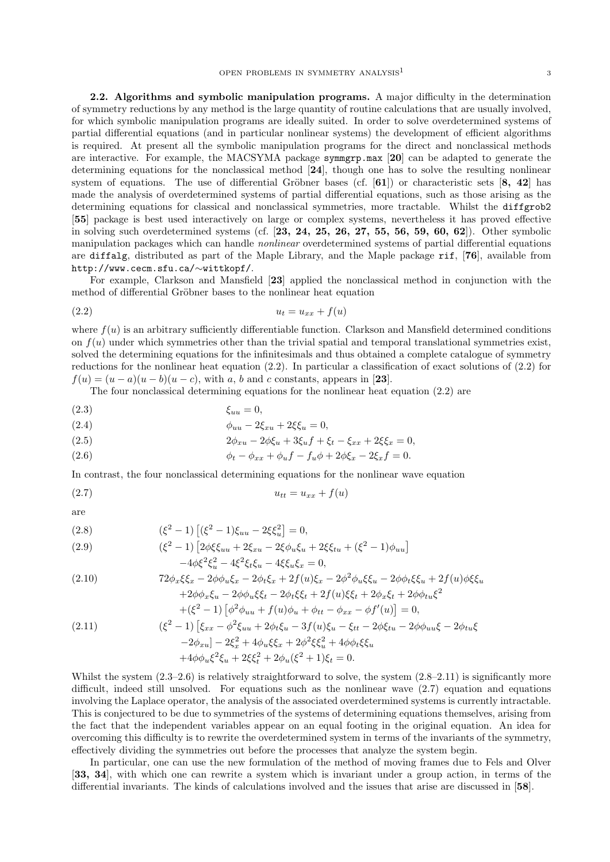2.2. Algorithms and symbolic manipulation programs. A major difficulty in the determination of symmetry reductions by any method is the large quantity of routine calculations that are usually involved, for which symbolic manipulation programs are ideally suited. In order to solve overdetermined systems of partial differential equations (and in particular nonlinear systems) the development of efficient algorithms is required. At present all the symbolic manipulation programs for the direct and nonclassical methods are interactive. For example, the MACSYMA package symmgrp.max [20] can be adapted to generate the determining equations for the nonclassical method [24], though one has to solve the resulting nonlinear system of equations. The use of differential Gröbner bases (cf.  $[61]$ ) or characteristic sets  $[8, 42]$  has made the analysis of overdetermined systems of partial differential equations, such as those arising as the determining equations for classical and nonclassical symmetries, more tractable. Whilst the diffgrob2 [55] package is best used interactively on large or complex systems, nevertheless it has proved effective in solving such overdetermined systems (cf.  $[23, 24, 25, 26, 27, 55, 56, 59, 60, 62]$ ). Other symbolic manipulation packages which can handle nonlinear overdetermined systems of partial differential equations are diffalg, distributed as part of the Maple Library, and the Maple package rif, [76], available from http://www.cecm.sfu.ca/∼wittkopf/.

For example, Clarkson and Mansfield [23] applied the nonclassical method in conjunction with the method of differential Gröbner bases to the nonlinear heat equation

$$
(2.2) \t\t\t u_t = u_{xx} + f(u)
$$

where  $f(u)$  is an arbitrary sufficiently differentiable function. Clarkson and Mansfield determined conditions on  $f(u)$  under which symmetries other than the trivial spatial and temporal translational symmetries exist, solved the determining equations for the infinitesimals and thus obtained a complete catalogue of symmetry reductions for the nonlinear heat equation (2.2). In particular a classification of exact solutions of (2.2) for  $f(u) = (u - a)(u - b)(u - c)$ , with a, b and c constants, appears in [23].

The four nonclassical determining equations for the nonlinear heat equation (2.2) are

$$
\xi_{uu} = 0,
$$

(2.4) 
$$
\phi_{uu} - 2\xi_{xu} + 2\xi\xi_u = 0,
$$

(2.5) 
$$
2\phi_{x} - 2\phi \xi_{u} + 3\xi_{u} f + \xi_{t} - \xi_{xx} + 2\xi \xi_{x} = 0,
$$

(2.6) 
$$
\phi_t - \phi_{xx} + \phi_u f - f_u \phi + 2\phi \xi_x - 2\xi_x f = 0.
$$

In contrast, the four nonclassical determining equations for the nonlinear wave equation

(2.7) utt = uxx + f(u)

are

(2.8) 
$$
(\xi^2 - 1) \left[ (\xi^2 - 1) \xi_{uu} - 2\xi \xi_u^2 \right] = 0,
$$

(2.9) 
$$
(\xi^2 - 1) \left[ 2\phi \xi \xi_{uu} + 2\xi_{xu} - 2\xi \phi_u \xi_u + 2\xi \xi_{tu} + (\xi^2 - 1)\phi_{uu} \right] - 4\phi \xi^2 \xi_u^2 - 4\xi^2 \xi_t \xi_u - 4\xi \xi_u \xi_x = 0,
$$

(2.10) 
$$
72\phi_x\xi\xi_x - 2\phi\phi_u\xi_x - 2\phi_t\xi_x + 2f(u)\xi_x - 2\phi^2\phi_u\xi_u - 2\phi\phi_t\xi_u + 2f(u)\phi\xi_x + 2\phi\phi_x\xi_u - 2\phi\phi_u\xi_t + 2f(u)\xi_t + 2\phi_x\xi_t + 2\phi\phi_u\xi^2
$$

$$
+(\xi^2 - 1) \left[ \phi^2 \phi_{uu} + f(u)\phi_u + \phi_{tt} - \phi_{xx} - \phi f'(u) \right] = 0,
$$
  
(2.11)  

$$
(\xi^2 - 1) \left[ \xi_{xx} - \phi^2 \xi_{uu} + 2\phi_t \xi_u - 3f(u)\xi_u - \xi_{tt} - 2\phi \xi_{tu} - 2\phi \phi_{uu} \xi - 2\phi_{tu} \xi_{uu} \right]
$$

$$
-2\phi_{xu} - 2\xi_x^2 + 4\phi_u \xi_x + 2\phi^2 \xi_x^2 + 4\phi \phi_t \xi_x
$$

$$
+4\phi \phi_u \xi^2 \xi_u + 2\xi_x^2 + 2\phi_u (\xi^2 + 1)\xi_t = 0.
$$

Whilst the system  $(2.3-2.6)$  is relatively straightforward to solve, the system  $(2.8-2.11)$  is significantly more difficult, indeed still unsolved. For equations such as the nonlinear wave (2.7) equation and equations involving the Laplace operator, the analysis of the associated overdetermined systems is currently intractable. This is conjectured to be due to symmetries of the systems of determining equations themselves, arising from the fact that the independent variables appear on an equal footing in the original equation. An idea for overcoming this difficulty is to rewrite the overdetermined system in terms of the invariants of the symmetry, effectively dividing the symmetries out before the processes that analyze the system begin.

In particular, one can use the new formulation of the method of moving frames due to Fels and Olver [33, 34], with which one can rewrite a system which is invariant under a group action, in terms of the differential invariants. The kinds of calculations involved and the issues that arise are discussed in [58].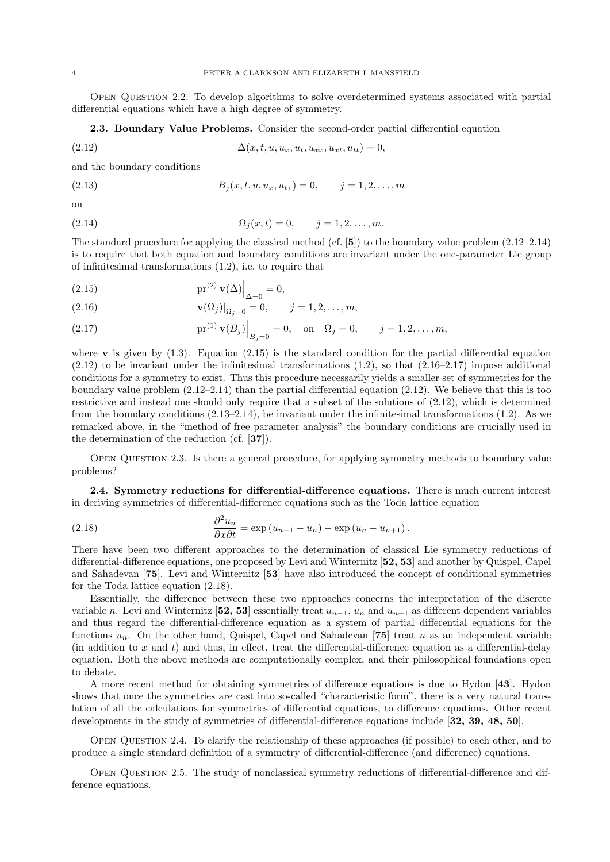Open Question 2.2. To develop algorithms to solve overdetermined systems associated with partial differential equations which have a high degree of symmetry.

2.3. Boundary Value Problems. Consider the second-order partial differential equation

(2.12) 
$$
\Delta(x, t, u, u_x, u_t, u_{xx}, u_{xt}, u_{tt}) = 0,
$$

and the boundary conditions

(2.13) 
$$
B_j(x, t, u, u_x, u_t, ) = 0, \qquad j = 1, 2, ..., m
$$

on

(2.14) 
$$
\Omega_j(x,t) = 0, \qquad j = 1, 2, \dots, m.
$$

The standard procedure for applying the classical method (cf.  $[5]$ ) to the boundary value problem  $(2.12-2.14)$ is to require that both equation and boundary conditions are invariant under the one-parameter Lie group of infinitesimal transformations (1.2), i.e. to require that

(2.15) 
$$
\mathrm{pr}^{(2)}\mathbf{v}(\Delta)\Big|_{\Delta=0}=0,
$$

(2.16) 
$$
\mathbf{v}(\Omega_j)|_{\Omega_j=0} = 0, \qquad j = 1, 2, ..., m,
$$

(2.17) 
$$
\text{pr}^{(1)} \mathbf{v}(B_j) \Big|_{B_j=0} = 0
$$
, on  $\Omega_j = 0$ ,  $j = 1, 2, ..., m$ ,

where **v** is given by  $(1.3)$ . Equation  $(2.15)$  is the standard condition for the partial differential equation  $(2.12)$  to be invariant under the infinitesimal transformations  $(1.2)$ , so that  $(2.16-2.17)$  impose additional conditions for a symmetry to exist. Thus this procedure necessarily yields a smaller set of symmetries for the boundary value problem  $(2.12-2.14)$  than the partial differential equation  $(2.12)$ . We believe that this is too restrictive and instead one should only require that a subset of the solutions of (2.12), which is determined from the boundary conditions (2.13–2.14), be invariant under the infinitesimal transformations (1.2). As we remarked above, in the "method of free parameter analysis" the boundary conditions are crucially used in the determination of the reduction (cf. [37]).

Open Question 2.3. Is there a general procedure, for applying symmetry methods to boundary value problems?

2.4. Symmetry reductions for differential-difference equations. There is much current interest in deriving symmetries of differential-difference equations such as the Toda lattice equation

(2.18) 
$$
\frac{\partial^2 u_n}{\partial x \partial t} = \exp(u_{n-1} - u_n) - \exp(u_n - u_{n+1}).
$$

There have been two different approaches to the determination of classical Lie symmetry reductions of differential-difference equations, one proposed by Levi and Winternitz [52, 53] and another by Quispel, Capel and Sahadevan [75]. Levi and Winternitz [53] have also introduced the concept of conditional symmetries for the Toda lattice equation (2.18).

Essentially, the difference between these two approaches concerns the interpretation of the discrete variable n. Levi and Winternitz [52, 53] essentially treat  $u_{n-1}$ ,  $u_n$  and  $u_{n+1}$  as different dependent variables and thus regard the differential-difference equation as a system of partial differential equations for the functions  $u_n$ . On the other hand, Quispel, Capel and Sahadevan [75] treat n as an independent variable (in addition to x and t) and thus, in effect, treat the differential-difference equation as a differential-delay equation. Both the above methods are computationally complex, and their philosophical foundations open to debate.

A more recent method for obtaining symmetries of difference equations is due to Hydon [43]. Hydon shows that once the symmetries are cast into so-called "characteristic form", there is a very natural translation of all the calculations for symmetries of differential equations, to difference equations. Other recent developments in the study of symmetries of differential-difference equations include [32, 39, 48, 50].

Open Question 2.4. To clarify the relationship of these approaches (if possible) to each other, and to produce a single standard definition of a symmetry of differential-difference (and difference) equations.

Open Question 2.5. The study of nonclassical symmetry reductions of differential-difference and difference equations.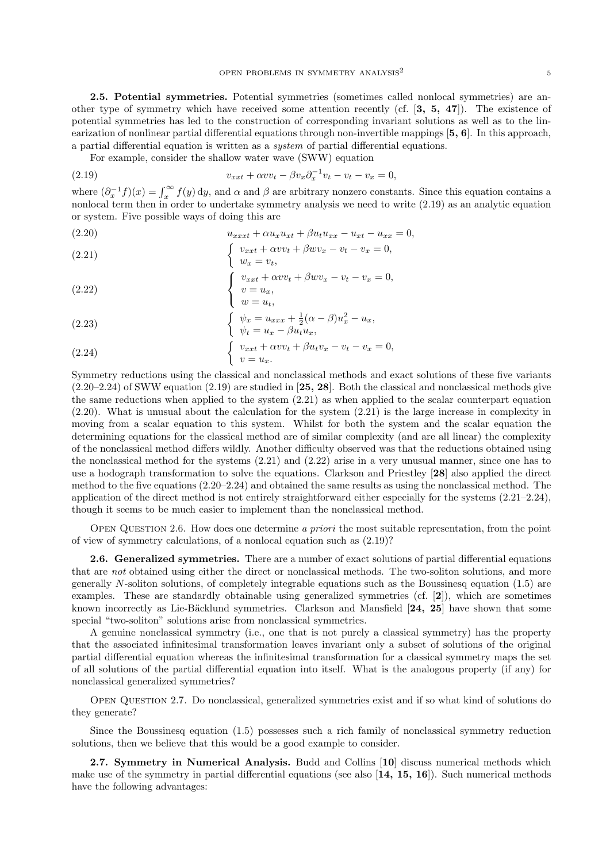2.5. Potential symmetries. Potential symmetries (sometimes called nonlocal symmetries) are another type of symmetry which have received some attention recently (cf. [3, 5, 47]). The existence of potential symmetries has led to the construction of corresponding invariant solutions as well as to the linearization of nonlinear partial differential equations through non-invertible mappings [5, 6]. In this approach, a partial differential equation is written as a system of partial differential equations.

For example, consider the shallow water wave (SWW) equation

(2.19) 
$$
v_{xxt} + \alpha v v_t - \beta v_x \partial_x^{-1} v_t - v_t - v_x = 0,
$$

where  $(\partial_x^{-1} f)(x) = \int_x^{\infty} f(y) dy$ , and  $\alpha$  and  $\beta$  are arbitrary nonzero constants. Since this equation contains a nonlocal term then in order to undertake symmetry analysis we need to write (2.19) as an analytic equation or system. Five possible ways of doing this are

(2.20) 
$$
u_{xxt} + \alpha u_x u_{xt} + \beta u_t u_{xx} - u_{xt} - u_{xx} = 0,
$$

(2.21) 
$$
\begin{cases} v_{xxt} + \alpha v v_t + \beta w v_x - v_t - v_x = 0, \\ w_x = v_t, \end{cases}
$$

(2.22) 
$$
\begin{cases} v_{xxt} + \alpha v v_t + \beta w v_x - v_t - v_x = 0, \\ v = u_x, \end{cases}
$$

$$
w = u_t,
$$

(2.23) 
$$
\begin{cases} \psi_x = u_{xxx} + \frac{1}{2}(\alpha - \beta)u_x^2 - u_x, \\ \psi_t = u_x - \beta u_t u_x, \end{cases}
$$

(2.24) 
$$
\begin{cases} v_{xxt} + \alpha v v_t + \beta u_t v_x - v_t - v_x = 0, \\ v = u_x. \end{cases}
$$

Symmetry reductions using the classical and nonclassical methods and exact solutions of these five variants  $(2.20-2.24)$  of SWW equation  $(2.19)$  are studied in [25, 28]. Both the classical and nonclassical methods give the same reductions when applied to the system (2.21) as when applied to the scalar counterpart equation (2.20). What is unusual about the calculation for the system (2.21) is the large increase in complexity in moving from a scalar equation to this system. Whilst for both the system and the scalar equation the determining equations for the classical method are of similar complexity (and are all linear) the complexity of the nonclassical method differs wildly. Another difficulty observed was that the reductions obtained using the nonclassical method for the systems (2.21) and (2.22) arise in a very unusual manner, since one has to use a hodograph transformation to solve the equations. Clarkson and Priestley [28] also applied the direct method to the five equations (2.20–2.24) and obtained the same results as using the nonclassical method. The application of the direct method is not entirely straightforward either especially for the systems (2.21–2.24), though it seems to be much easier to implement than the nonclassical method.

Open Question 2.6. How does one determine a priori the most suitable representation, from the point of view of symmetry calculations, of a nonlocal equation such as (2.19)?

2.6. Generalized symmetries. There are a number of exact solutions of partial differential equations that are not obtained using either the direct or nonclassical methods. The two-soliton solutions, and more generally  $N$ -soliton solutions, of completely integrable equations such as the Boussinesq equation (1.5) are examples. These are standardly obtainable using generalized symmetries (cf. [2]), which are sometimes known incorrectly as Lie-Bäcklund symmetries. Clarkson and Mansfield [24, 25] have shown that some special "two-soliton" solutions arise from nonclassical symmetries.

A genuine nonclassical symmetry (i.e., one that is not purely a classical symmetry) has the property that the associated infinitesimal transformation leaves invariant only a subset of solutions of the original partial differential equation whereas the infinitesimal transformation for a classical symmetry maps the set of all solutions of the partial differential equation into itself. What is the analogous property (if any) for nonclassical generalized symmetries?

Open Question 2.7. Do nonclassical, generalized symmetries exist and if so what kind of solutions do they generate?

Since the Boussinesq equation (1.5) possesses such a rich family of nonclassical symmetry reduction solutions, then we believe that this would be a good example to consider.

2.7. Symmetry in Numerical Analysis. Budd and Collins [10] discuss numerical methods which make use of the symmetry in partial differential equations (see also  $\left[14, 15, 16\right]$ ). Such numerical methods have the following advantages: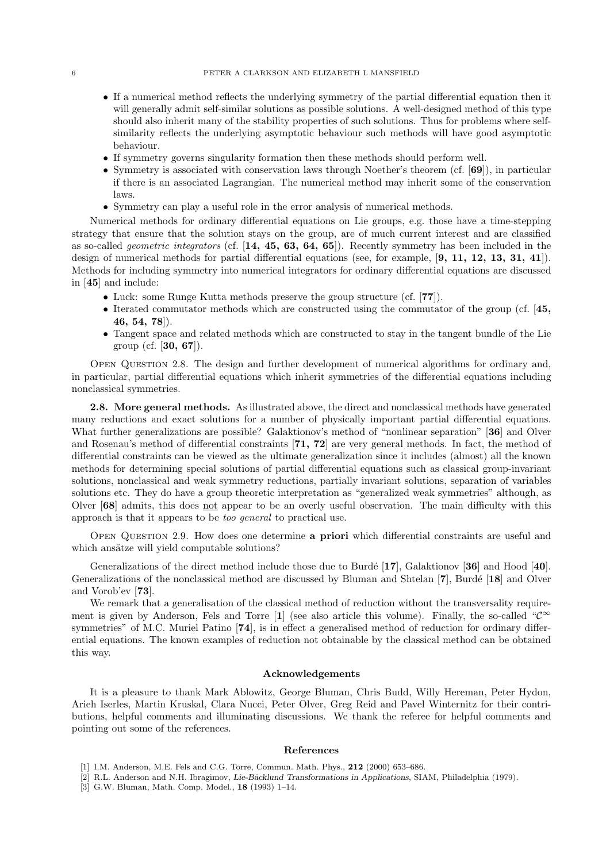- If a numerical method reflects the underlying symmetry of the partial differential equation then it will generally admit self-similar solutions as possible solutions. A well-designed method of this type should also inherit many of the stability properties of such solutions. Thus for problems where selfsimilarity reflects the underlying asymptotic behaviour such methods will have good asymptotic behaviour.
- If symmetry governs singularity formation then these methods should perform well.
- Symmetry is associated with conservation laws through Noether's theorem (cf. [69]), in particular if there is an associated Lagrangian. The numerical method may inherit some of the conservation laws.
- Symmetry can play a useful role in the error analysis of numerical methods.

Numerical methods for ordinary differential equations on Lie groups, e.g. those have a time-stepping strategy that ensure that the solution stays on the group, are of much current interest and are classified as so-called *geometric integrators* (cf.  $[14, 45, 63, 64, 65]$ ). Recently symmetry has been included in the design of numerical methods for partial differential equations (see, for example, [9, 11, 12, 13, 31, 41]). Methods for including symmetry into numerical integrators for ordinary differential equations are discussed in [45] and include:

- Luck: some Runge Kutta methods preserve the group structure (cf. [77]).
- Iterated commutator methods which are constructed using the commutator of the group (cf. [45, 46, 54, 78]).
- Tangent space and related methods which are constructed to stay in the tangent bundle of the Lie group (cf. [30, 67]).

Open Question 2.8. The design and further development of numerical algorithms for ordinary and, in particular, partial differential equations which inherit symmetries of the differential equations including nonclassical symmetries.

2.8. More general methods. As illustrated above, the direct and nonclassical methods have generated many reductions and exact solutions for a number of physically important partial differential equations. What further generalizations are possible? Galaktionov's method of "nonlinear separation" [36] and Olver and Rosenau's method of differential constraints [71, 72] are very general methods. In fact, the method of differential constraints can be viewed as the ultimate generalization since it includes (almost) all the known methods for determining special solutions of partial differential equations such as classical group-invariant solutions, nonclassical and weak symmetry reductions, partially invariant solutions, separation of variables solutions etc. They do have a group theoretic interpretation as "generalized weak symmetries" although, as Olver [68] admits, this does not appear to be an overly useful observation. The main difficulty with this approach is that it appears to be too general to practical use.

Open Question 2.9. How does one determine a priori which differential constraints are useful and which ansätze will yield computable solutions?

Generalizations of the direct method include those due to Burdé [17], Galaktionov [36] and Hood [40]. Generalizations of the nonclassical method are discussed by Bluman and Shtelan [7], Burdé [18] and Olver and Vorob'ev [73].

We remark that a generalisation of the classical method of reduction without the transversality requirement is given by Anderson, Fels and Torre [1] (see also article this volume). Finally, the so-called " $\mathcal{C}^{\infty}$ symmetries" of M.C. Muriel Patino [74], is in effect a generalised method of reduction for ordinary differential equations. The known examples of reduction not obtainable by the classical method can be obtained this way.

#### Acknowledgements

It is a pleasure to thank Mark Ablowitz, George Bluman, Chris Budd, Willy Hereman, Peter Hydon, Arieh Iserles, Martin Kruskal, Clara Nucci, Peter Olver, Greg Reid and Pavel Winternitz for their contributions, helpful comments and illuminating discussions. We thank the referee for helpful comments and pointing out some of the references.

#### References

- [1] I.M. Anderson, M.E. Fels and C.G. Torre, Commun. Math. Phys., 212 (2000) 653–686.
- [2] R.L. Anderson and N.H. Ibragimov, Lie-Bäcklund Transformations in Applications, SIAM, Philadelphia (1979).
- [3] G.W. Bluman, Math. Comp. Model., 18 (1993) 1–14.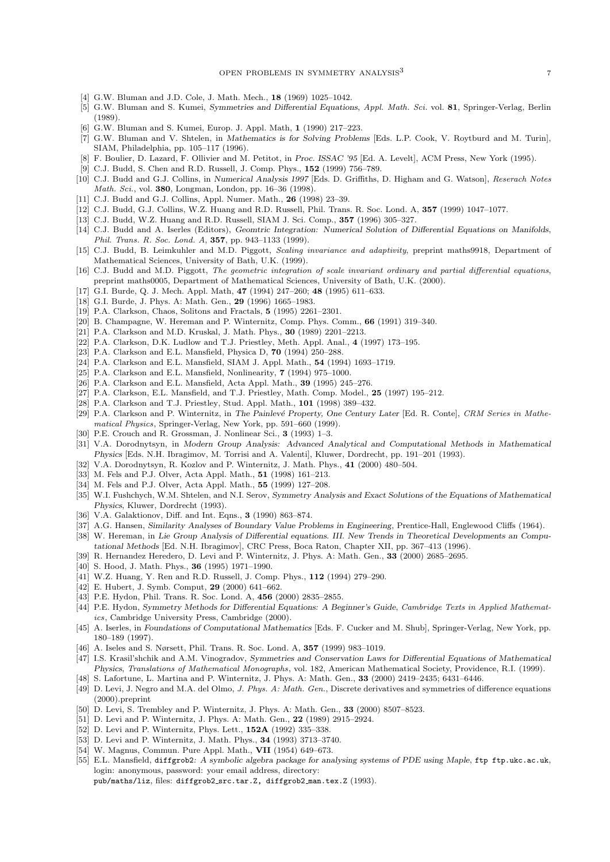- [4] G.W. Bluman and J.D. Cole, J. Math. Mech., **18** (1969) 1025-1042.
- [5] G.W. Bluman and S. Kumei, Symmetries and Differential Equations, Appl. Math. Sci. vol. 81, Springer-Verlag, Berlin (1989).
- [6] G.W. Bluman and S. Kumei, Europ. J. Appl. Math, 1 (1990) 217–223.
- [7] G.W. Bluman and V. Shtelen, in Mathematics is for Solving Problems [Eds. L.P. Cook, V. Roytburd and M. Turin], SIAM, Philadelphia, pp. 105–117 (1996).
- [8] F. Boulier, D. Lazard, F. Ollivier and M. Petitot, in Proc. ISSAC '95 [Ed. A. Levelt], ACM Press, New York (1995).
- [9] C.J. Budd, S. Chen and R.D. Russell, J. Comp. Phys., 152 (1999) 756–789.
- [10] C.J. Budd and G.J. Collins, in Numerical Analysis 1997 [Eds. D. Griffiths, D. Higham and G. Watson], Reserach Notes Math. Sci., vol. 380, Longman, London, pp. 16–36 (1998).
- [11] C.J. Budd and G.J. Collins, Appl. Numer. Math., **26** (1998) 23-39.
- [12] C.J. Budd, G.J. Collins, W.Z. Huang and R.D. Russell, Phil. Trans. R. Soc. Lond. A, 357 (1999) 1047–1077.
- [13] C.J. Budd, W.Z. Huang and R.D. Russell, SIAM J. Sci. Comp., 357 (1996) 305–327.
- [14] C.J. Budd and A. Iserles (Editors), Geomtric Integration: Numerical Solution of Differential Equations on Manifolds, Phil. Trans. R. Soc. Lond. A, 357, pp. 943–1133 (1999).
- [15] C.J. Budd, B. Leimkuhler and M.D. Piggott, Scaling invariance and adaptivity, preprint maths9918, Department of Mathematical Sciences, University of Bath, U.K. (1999).
- [16] C.J. Budd and M.D. Piggott, The geometric integration of scale invariant ordinary and partial differential equations, preprint maths0005, Department of Mathematical Sciences, University of Bath, U.K. (2000).
- [17] G.I. Burde, Q. J. Mech. Appl. Math, 47 (1994) 247-260; 48 (1995) 611-633.
- [18] G.I. Burde, J. Phys. A: Math. Gen., 29 (1996) 1665–1983.
- [19] P.A. Clarkson, Chaos, Solitons and Fractals, 5 (1995) 2261–2301.
- [20] B. Champagne, W. Hereman and P. Winternitz, Comp. Phys. Comm., 66 (1991) 319–340.
- [21] P.A. Clarkson and M.D. Kruskal, J. Math. Phys., 30 (1989) 2201-2213.
- [22] P.A. Clarkson, D.K. Ludlow and T.J. Priestley, Meth. Appl. Anal., 4 (1997) 173–195.
- [23] P.A. Clarkson and E.L. Mansfield, Physica D, 70 (1994) 250–288.
- [24] P.A. Clarkson and E.L. Mansfield, SIAM J. Appl. Math., 54 (1994) 1693–1719.
- [25] P.A. Clarkson and E.L. Mansfield, Nonlinearity, **7** (1994) 975–1000.
- [26] P.A. Clarkson and E.L. Mansfield, Acta Appl. Math., 39 (1995) 245–276.
- [27] P.A. Clarkson, E.L. Mansfield, and T.J. Priestley, Math. Comp. Model., 25 (1997) 195–212.
- [28] P.A. Clarkson and T.J. Priestley, Stud. Appl. Math., 101 (1998) 389–432.
- [29] P.A. Clarkson and P. Winternitz, in The Painlevé Property, One Century Later [Ed. R. Conte], CRM Series in Mathematical Physics, Springer-Verlag, New York, pp. 591–660 (1999).
- [30] P.E. Crouch and R. Grossman, J. Nonlinear Sci., 3 (1993) 1–3.
- [31] V.A. Dorodnytsyn, in Modern Group Analysis: Advanced Analytical and Computational Methods in Mathematical Physics [Eds. N.H. Ibragimov, M. Torrisi and A. Valenti], Kluwer, Dordrecht, pp. 191–201 (1993).
- [32] V.A. Dorodnytsyn, R. Kozlov and P. Winternitz, J. Math. Phys., 41 (2000) 480–504.
- [33] M. Fels and P.J. Olver, Acta Appl. Math., 51 (1998) 161–213.
- [34] M. Fels and P.J. Olver, Acta Appl. Math., 55 (1999) 127–208.
- [35] W.I. Fushchych, W.M. Shtelen, and N.I. Serov, Symmetry Analysis and Exact Solutions of the Equations of Mathematical Physics, Kluwer, Dordrecht (1993).
- [36] V.A. Galaktionov, Diff. and Int. Eqns., 3 (1990) 863-874.
- [37] A.G. Hansen, Similarity Analyses of Boundary Value Problems in Engineering, Prentice-Hall, Englewood Cliffs (1964).
- [38] W. Hereman, in Lie Group Analysis of Differential equations. III. New Trends in Theoretical Developments an Computational Methods [Ed. N.H. Ibragimov], CRC Press, Boca Raton, Chapter XII, pp. 367–413 (1996).
- [39] R. Hernandez Heredero, D. Levi and P. Winternitz, J. Phys. A: Math. Gen., 33 (2000) 2685–2695.
- [40] S. Hood, J. Math. Phys., **36** (1995) 1971–1990.
- [41] W.Z. Huang, Y. Ren and R.D. Russell, J. Comp. Phys., 112 (1994) 279-290.
- [42] E. Hubert, J. Symb. Comput, 29 (2000) 641–662.
- [43] P.E. Hydon, Phil. Trans. R. Soc. Lond. A, 456 (2000) 2835-2855.
- [44] P.E. Hydon, Symmetry Methods for Differential Equations: A Beginner's Guide, Cambridge Texts in Applied Mathematics, Cambridge University Press, Cambridge (2000).
- [45] A. Iserles, in Foundations of Computational Mathematics [Eds. F. Cucker and M. Shub], Springer-Verlag, New York, pp. 180–189 (1997).
- [46] A. Iseles and S. Nørsett, Phil. Trans. R. Soc. Lond. A, 357 (1999) 983–1019.
- [47] I.S. Krasil'shchik and A.M. Vinogradov, Symmetries and Conservation Laws for Differential Equations of Mathematical Physics, Translations of Mathematical Monographs, vol. 182, American Mathematical Society, Providence, R.I. (1999).
- [48] S. Lafortune, L. Martina and P. Winternitz, J. Phys. A: Math. Gen., 33 (2000) 2419–2435; 6431–6446.
- [49] D. Levi, J. Negro and M.A. del Olmo, J. Phys. A: Math. Gen., Discrete derivatives and symmetries of difference equations (2000).preprint
- [50] D. Levi, S. Trembley and P. Winternitz, J. Phys. A: Math. Gen., 33 (2000) 8507-8523.
- [51] D. Levi and P. Winternitz, J. Phys. A: Math. Gen., 22 (1989) 2915-2924.
- [52] D. Levi and P. Winternitz, Phys. Lett., 152A (1992) 335–338.
- [53] D. Levi and P. Winternitz, J. Math. Phys., 34 (1993) 3713–3740.
- [54] W. Magnus, Commun. Pure Appl. Math., VII (1954) 649–673.
- [55] E.L. Mansfield, diffgrob2: A symbolic algebra package for analysing systems of PDE using Maple, ftp ftp.ukc.ac.uk, login: anonymous, password: your email address, directory:

pub/maths/liz, files: diffgrob2 src.tar.Z, diffgrob2 man.tex.Z (1993).